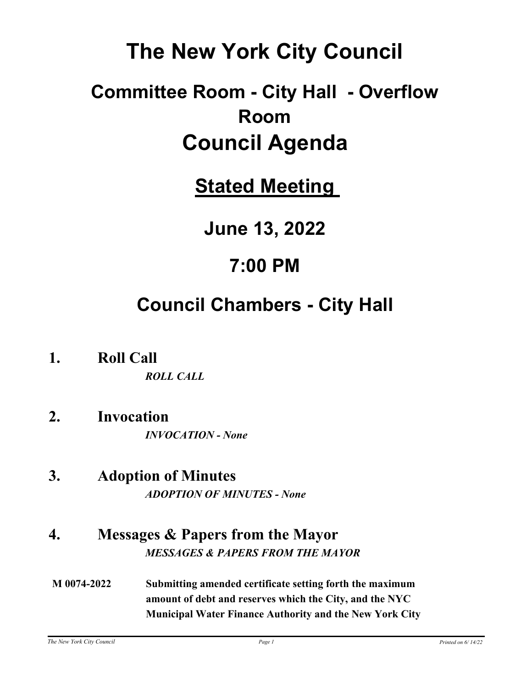# **The New York City Council**

# **Committee Room - City Hall - Overflow Room Council Agenda**

**Stated Meeting** 

**June 13, 2022**

# **7:00 PM**

# **Council Chambers - City Hall**

**1. Roll Call**

*ROLL CALL*

- **2. Invocation** *INVOCATION - None*
- **3. Adoption of Minutes** *ADOPTION OF MINUTES - None*
- **4. Messages & Papers from the Mayor** *MESSAGES & PAPERS FROM THE MAYOR*
- **M 0074-2022 Submitting amended certificate setting forth the maximum amount of debt and reserves which the City, and the NYC Municipal Water Finance Authority and the New York City**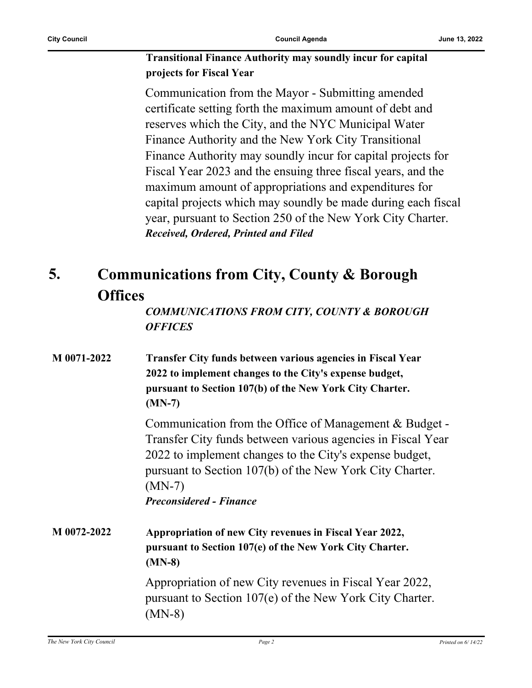#### **Transitional Finance Authority may soundly incur for capital projects for Fiscal Year**

Communication from the Mayor - Submitting amended certificate setting forth the maximum amount of debt and reserves which the City, and the NYC Municipal Water Finance Authority and the New York City Transitional Finance Authority may soundly incur for capital projects for Fiscal Year 2023 and the ensuing three fiscal years, and the maximum amount of appropriations and expenditures for capital projects which may soundly be made during each fiscal year, pursuant to Section 250 of the New York City Charter. *Received, Ordered, Printed and Filed*

#### **Communications from City, County & Borough Offices 5.**

*COMMUNICATIONS FROM CITY, COUNTY & BOROUGH OFFICES*

| M 0071-2022 | <b>Transfer City funds between various agencies in Fiscal Year</b><br>2022 to implement changes to the City's expense budget,<br>pursuant to Section 107(b) of the New York City Charter.<br>$(MN-7)$                                                                                      |
|-------------|--------------------------------------------------------------------------------------------------------------------------------------------------------------------------------------------------------------------------------------------------------------------------------------------|
|             | Communication from the Office of Management & Budget -<br>Transfer City funds between various agencies in Fiscal Year<br>2022 to implement changes to the City's expense budget,<br>pursuant to Section 107(b) of the New York City Charter.<br>$(MN-7)$<br><b>Preconsidered - Finance</b> |
| M 0072-2022 | Appropriation of new City revenues in Fiscal Year 2022,<br>pursuant to Section 107(e) of the New York City Charter.<br>$(MN-8)$                                                                                                                                                            |
|             | Appropriation of new City revenues in Fiscal Year 2022,<br>pursuant to Section 107(e) of the New York City Charter.<br>(MN-8)                                                                                                                                                              |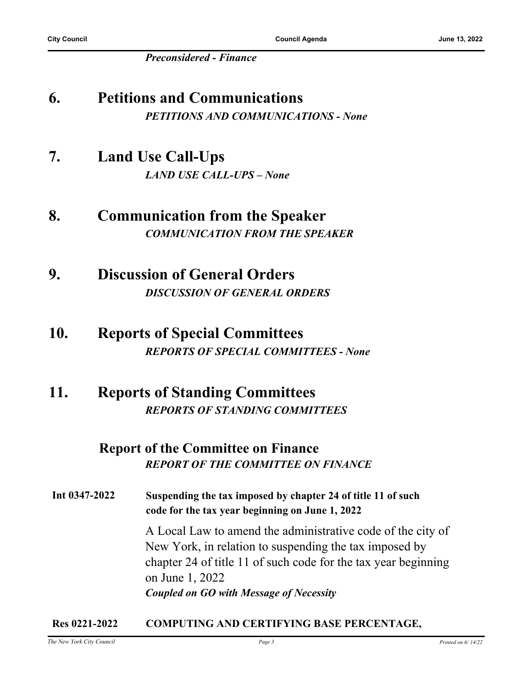**City Council Council Agenda June 13, 2022**

*Preconsidered - Finance*

# **6. Petitions and Communications** *PETITIONS AND COMMUNICATIONS - None*

## **7. Land Use Call-Ups** *LAND USE CALL-UPS – None*

- **8. Communication from the Speaker** *COMMUNICATION FROM THE SPEAKER*
- **9. Discussion of General Orders** *DISCUSSION OF GENERAL ORDERS*

## **10. Reports of Special Committees** *REPORTS OF SPECIAL COMMITTEES - None*

## **11. Reports of Standing Committees** *REPORTS OF STANDING COMMITTEES*

## **Report of the Committee on Finance** *REPORT OF THE COMMITTEE ON FINANCE*

**Int 0347-2022 Suspending the tax imposed by chapter 24 of title 11 of such code for the tax year beginning on June 1, 2022**

> A Local Law to amend the administrative code of the city of New York, in relation to suspending the tax imposed by chapter 24 of title 11 of such code for the tax year beginning on June 1, 2022 *Coupled on GO with Message of Necessity*

#### **Res 0221-2022 COMPUTING AND CERTIFYING BASE PERCENTAGE,**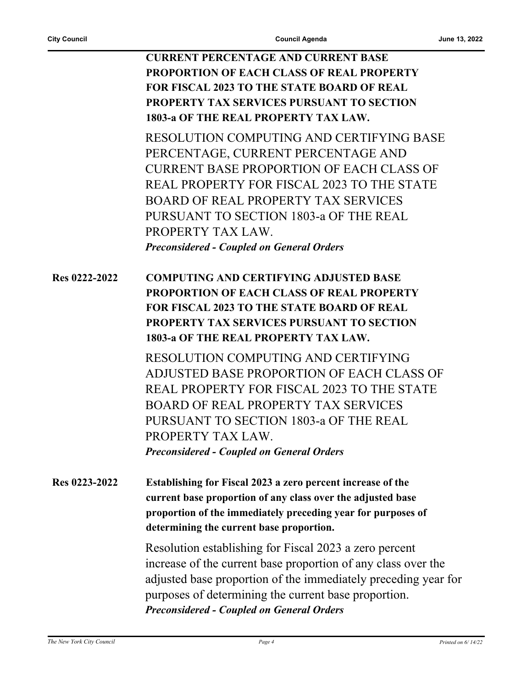**CURRENT PERCENTAGE AND CURRENT BASE PROPORTION OF EACH CLASS OF REAL PROPERTY FOR FISCAL 2023 TO THE STATE BOARD OF REAL PROPERTY TAX SERVICES PURSUANT TO SECTION 1803-a OF THE REAL PROPERTY TAX LAW.**

RESOLUTION COMPUTING AND CERTIFYING BASE PERCENTAGE, CURRENT PERCENTAGE AND CURRENT BASE PROPORTION OF EACH CLASS OF REAL PROPERTY FOR FISCAL 2023 TO THE STATE BOARD OF REAL PROPERTY TAX SERVICES PURSUANT TO SECTION 1803-a OF THE REAL PROPERTY TAX LAW. *Preconsidered - Coupled on General Orders*

**Res 0222-2022 COMPUTING AND CERTIFYING ADJUSTED BASE PROPORTION OF EACH CLASS OF REAL PROPERTY FOR FISCAL 2023 TO THE STATE BOARD OF REAL PROPERTY TAX SERVICES PURSUANT TO SECTION 1803-a OF THE REAL PROPERTY TAX LAW.**

> RESOLUTION COMPUTING AND CERTIFYING ADJUSTED BASE PROPORTION OF EACH CLASS OF REAL PROPERTY FOR FISCAL 2023 TO THE STATE BOARD OF REAL PROPERTY TAX SERVICES PURSUANT TO SECTION 1803-a OF THE REAL PROPERTY TAX LAW. *Preconsidered - Coupled on General Orders*

**Res 0223-2022 Establishing for Fiscal 2023 a zero percent increase of the current base proportion of any class over the adjusted base proportion of the immediately preceding year for purposes of determining the current base proportion.**

> Resolution establishing for Fiscal 2023 a zero percent increase of the current base proportion of any class over the adjusted base proportion of the immediately preceding year for purposes of determining the current base proportion. *Preconsidered - Coupled on General Orders*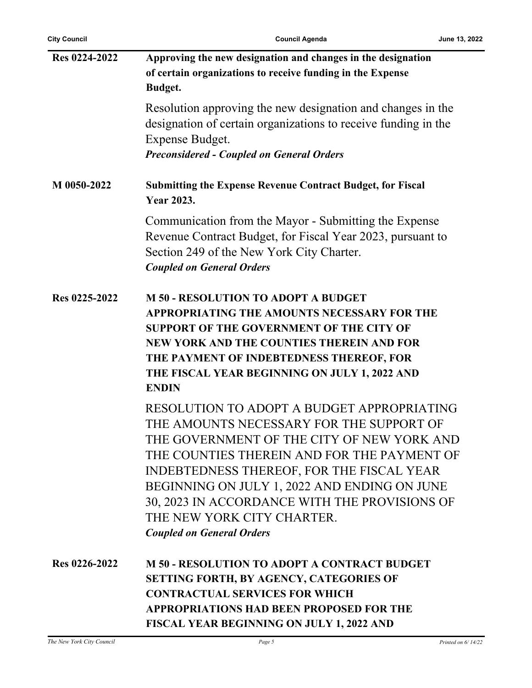j.

**City Council Council Agenda June 13, 2022**

| Res 0224-2022 | Approving the new designation and changes in the designation                                                                                                                                         |
|---------------|------------------------------------------------------------------------------------------------------------------------------------------------------------------------------------------------------|
|               | of certain organizations to receive funding in the Expense                                                                                                                                           |
|               | <b>Budget.</b>                                                                                                                                                                                       |
|               | Resolution approving the new designation and changes in the<br>designation of certain organizations to receive funding in the                                                                        |
|               | Expense Budget.                                                                                                                                                                                      |
|               | <b>Preconsidered - Coupled on General Orders</b>                                                                                                                                                     |
|               |                                                                                                                                                                                                      |
| M 0050-2022   | <b>Submitting the Expense Revenue Contract Budget, for Fiscal</b><br><b>Year 2023.</b>                                                                                                               |
|               | Communication from the Mayor - Submitting the Expense<br>Revenue Contract Budget, for Fiscal Year 2023, pursuant to<br>Section 249 of the New York City Charter.<br><b>Coupled on General Orders</b> |
| Res 0225-2022 | <b>M 50 - RESOLUTION TO ADOPT A BUDGET</b>                                                                                                                                                           |
|               | APPROPRIATING THE AMOUNTS NECESSARY FOR THE                                                                                                                                                          |
|               | <b>SUPPORT OF THE GOVERNMENT OF THE CITY OF</b>                                                                                                                                                      |
|               | NEW YORK AND THE COUNTIES THEREIN AND FOR                                                                                                                                                            |
|               | THE PAYMENT OF INDEBTEDNESS THEREOF, FOR                                                                                                                                                             |
|               | THE FISCAL YEAR BEGINNING ON JULY 1, 2022 AND                                                                                                                                                        |
|               | <b>ENDIN</b>                                                                                                                                                                                         |
|               | RESOLUTION TO ADOPT A BUDGET APPROPRIATING                                                                                                                                                           |
|               | THE AMOUNTS NECESSARY FOR THE SUPPORT OF                                                                                                                                                             |
|               | THE GOVERNMENT OF THE CITY OF NEW YORK AND                                                                                                                                                           |
|               | THE COUNTIES THEREIN AND FOR THE PAYMENT OF                                                                                                                                                          |
|               | INDEBTEDNESS THEREOF, FOR THE FISCAL YEAR                                                                                                                                                            |
|               | BEGINNING ON JULY 1, 2022 AND ENDING ON JUNE                                                                                                                                                         |
|               | 30, 2023 IN ACCORDANCE WITH THE PROVISIONS OF                                                                                                                                                        |
|               | THE NEW YORK CITY CHARTER.                                                                                                                                                                           |
|               | <b>Coupled on General Orders</b>                                                                                                                                                                     |
| Res 0226-2022 | <b>M 50 - RESOLUTION TO ADOPT A CONTRACT BUDGET</b>                                                                                                                                                  |
|               | SETTING FORTH, BY AGENCY, CATEGORIES OF                                                                                                                                                              |
|               | <b>CONTRACTUAL SERVICES FOR WHICH</b>                                                                                                                                                                |
|               | <b>APPROPRIATIONS HAD BEEN PROPOSED FOR THE</b>                                                                                                                                                      |
|               | <b>FISCAL YEAR BEGINNING ON JULY 1, 2022 AND</b>                                                                                                                                                     |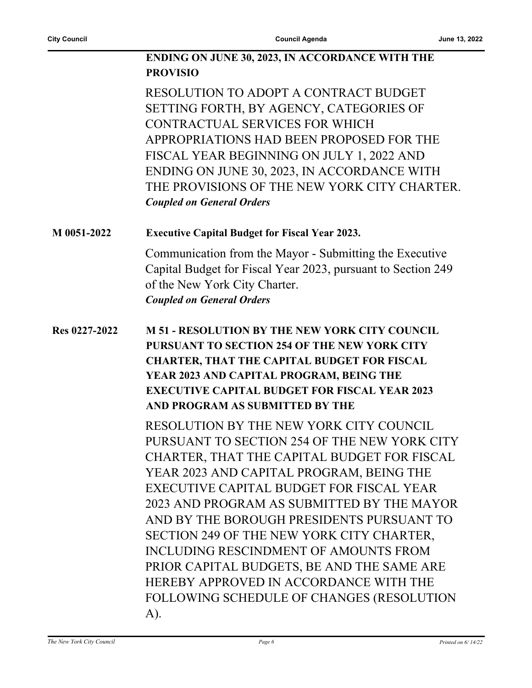#### **ENDING ON JUNE 30, 2023, IN ACCORDANCE WITH THE PROVISIO**

RESOLUTION TO ADOPT A CONTRACT BUDGET SETTING FORTH, BY AGENCY, CATEGORIES OF CONTRACTUAL SERVICES FOR WHICH APPROPRIATIONS HAD BEEN PROPOSED FOR THE FISCAL YEAR BEGINNING ON JULY 1, 2022 AND ENDING ON JUNE 30, 2023, IN ACCORDANCE WITH THE PROVISIONS OF THE NEW YORK CITY CHARTER. *Coupled on General Orders*

#### **M 0051-2022 Executive Capital Budget for Fiscal Year 2023.**

Communication from the Mayor - Submitting the Executive Capital Budget for Fiscal Year 2023, pursuant to Section 249 of the New York City Charter. *Coupled on General Orders*

### **Res 0227-2022 M 51 - RESOLUTION BY THE NEW YORK CITY COUNCIL PURSUANT TO SECTION 254 OF THE NEW YORK CITY CHARTER, THAT THE CAPITAL BUDGET FOR FISCAL YEAR 2023 AND CAPITAL PROGRAM, BEING THE EXECUTIVE CAPITAL BUDGET FOR FISCAL YEAR 2023 AND PROGRAM AS SUBMITTED BY THE**

RESOLUTION BY THE NEW YORK CITY COUNCIL PURSUANT TO SECTION 254 OF THE NEW YORK CITY CHARTER, THAT THE CAPITAL BUDGET FOR FISCAL YEAR 2023 AND CAPITAL PROGRAM, BEING THE EXECUTIVE CAPITAL BUDGET FOR FISCAL YEAR 2023 AND PROGRAM AS SUBMITTED BY THE MAYOR AND BY THE BOROUGH PRESIDENTS PURSUANT TO SECTION 249 OF THE NEW YORK CITY CHARTER, INCLUDING RESCINDMENT OF AMOUNTS FROM PRIOR CAPITAL BUDGETS, BE AND THE SAME ARE HEREBY APPROVED IN ACCORDANCE WITH THE FOLLOWING SCHEDULE OF CHANGES (RESOLUTION A).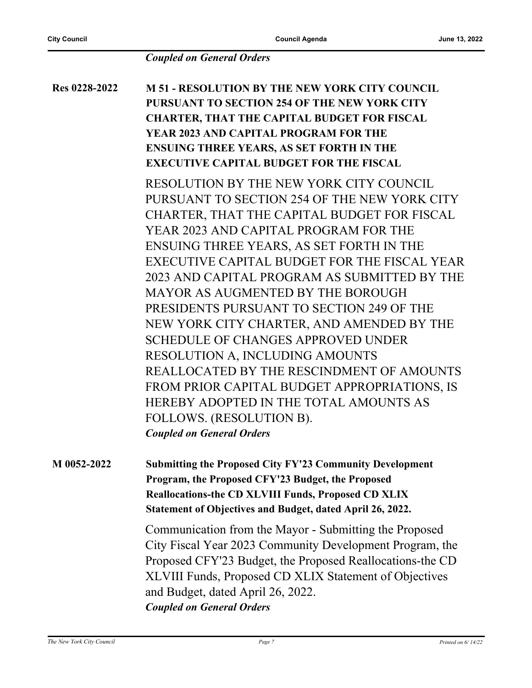#### *Coupled on General Orders*

**Res 0228-2022 M 51 - RESOLUTION BY THE NEW YORK CITY COUNCIL PURSUANT TO SECTION 254 OF THE NEW YORK CITY CHARTER, THAT THE CAPITAL BUDGET FOR FISCAL YEAR 2023 AND CAPITAL PROGRAM FOR THE ENSUING THREE YEARS, AS SET FORTH IN THE EXECUTIVE CAPITAL BUDGET FOR THE FISCAL** RESOLUTION BY THE NEW YORK CITY COUNCIL PURSUANT TO SECTION 254 OF THE NEW YORK CITY CHARTER, THAT THE CAPITAL BUDGET FOR FISCAL YEAR 2023 AND CAPITAL PROGRAM FOR THE ENSUING THREE YEARS, AS SET FORTH IN THE EXECUTIVE CAPITAL BUDGET FOR THE FISCAL YEAR 2023 AND CAPITAL PROGRAM AS SUBMITTED BY THE MAYOR AS AUGMENTED BY THE BOROUGH PRESIDENTS PURSUANT TO SECTION 249 OF THE NEW YORK CITY CHARTER, AND AMENDED BY THE SCHEDULE OF CHANGES APPROVED UNDER RESOLUTION A, INCLUDING AMOUNTS REALLOCATED BY THE RESCINDMENT OF AMOUNTS FROM PRIOR CAPITAL BUDGET APPROPRIATIONS, IS HEREBY ADOPTED IN THE TOTAL AMOUNTS AS FOLLOWS. (RESOLUTION B). *Coupled on General Orders* **M 0052-2022 Submitting the Proposed City FY'23 Community Development Program, the Proposed CFY'23 Budget, the Proposed** 

**Reallocations-the CD XLVIII Funds, Proposed CD XLIX Statement of Objectives and Budget, dated April 26, 2022.**

Communication from the Mayor - Submitting the Proposed City Fiscal Year 2023 Community Development Program, the Proposed CFY'23 Budget, the Proposed Reallocations-the CD XLVIII Funds, Proposed CD XLIX Statement of Objectives and Budget, dated April 26, 2022. *Coupled on General Orders*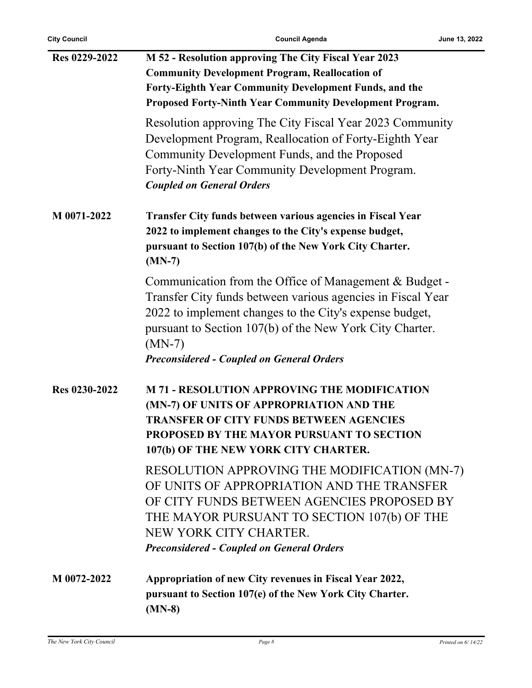| Res 0229-2022 | M 52 - Resolution approving The City Fiscal Year 2023                                                                                                                                                                                                                                                        |
|---------------|--------------------------------------------------------------------------------------------------------------------------------------------------------------------------------------------------------------------------------------------------------------------------------------------------------------|
|               | <b>Community Development Program, Reallocation of</b>                                                                                                                                                                                                                                                        |
|               | Forty-Eighth Year Community Development Funds, and the                                                                                                                                                                                                                                                       |
|               | <b>Proposed Forty-Ninth Year Community Development Program.</b>                                                                                                                                                                                                                                              |
|               | Resolution approving The City Fiscal Year 2023 Community<br>Development Program, Reallocation of Forty-Eighth Year<br>Community Development Funds, and the Proposed<br>Forty-Ninth Year Community Development Program.<br><b>Coupled on General Orders</b>                                                   |
| M 0071-2022   | Transfer City funds between various agencies in Fiscal Year<br>2022 to implement changes to the City's expense budget,<br>pursuant to Section 107(b) of the New York City Charter.<br>$(MN-7)$                                                                                                               |
|               | Communication from the Office of Management & Budget -<br>Transfer City funds between various agencies in Fiscal Year<br>2022 to implement changes to the City's expense budget,<br>pursuant to Section 107(b) of the New York City Charter.<br>$(MN-7)$<br><b>Preconsidered - Coupled on General Orders</b> |
| Res 0230-2022 | <b>M 71 - RESOLUTION APPROVING THE MODIFICATION</b><br>(MN-7) OF UNITS OF APPROPRIATION AND THE<br><b>TRANSFER OF CITY FUNDS BETWEEN AGENCIES</b><br>PROPOSED BY THE MAYOR PURSUANT TO SECTION<br>107(b) OF THE NEW YORK CITY CHARTER.<br>RESOLUTION APPROVING THE MODIFICATION (MN-7)                       |
|               | OF UNITS OF APPROPRIATION AND THE TRANSFER<br>OF CITY FUNDS BETWEEN AGENCIES PROPOSED BY<br>THE MAYOR PURSUANT TO SECTION 107(b) OF THE<br>NEW YORK CITY CHARTER.<br><b>Preconsidered - Coupled on General Orders</b>                                                                                        |
| M 0072-2022   | Appropriation of new City revenues in Fiscal Year 2022,<br>pursuant to Section 107(e) of the New York City Charter.<br>$(MN-8)$                                                                                                                                                                              |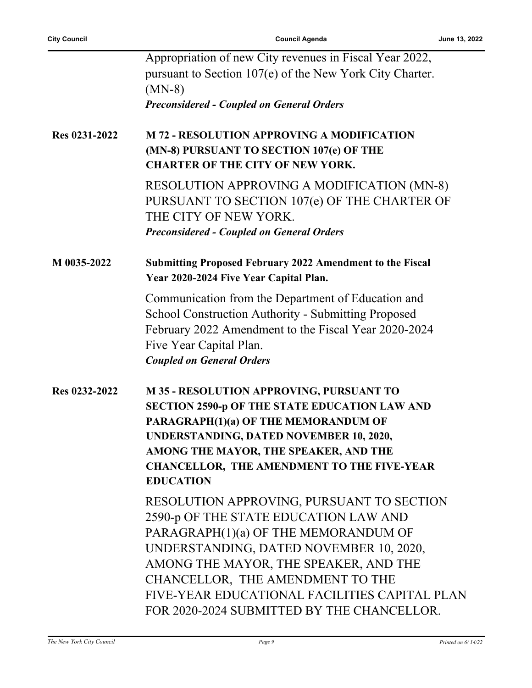|               | Appropriation of new City revenues in Fiscal Year 2022,                                                                                                                                                                                 |
|---------------|-----------------------------------------------------------------------------------------------------------------------------------------------------------------------------------------------------------------------------------------|
|               | pursuant to Section 107(e) of the New York City Charter.<br>$(MN-8)$                                                                                                                                                                    |
|               | <b>Preconsidered - Coupled on General Orders</b>                                                                                                                                                                                        |
| Res 0231-2022 | <b>M 72 - RESOLUTION APPROVING A MODIFICATION</b><br>(MN-8) PURSUANT TO SECTION 107(e) OF THE<br><b>CHARTER OF THE CITY OF NEW YORK.</b>                                                                                                |
|               | <b>RESOLUTION APPROVING A MODIFICATION (MN-8)</b><br>PURSUANT TO SECTION 107(e) OF THE CHARTER OF<br>THE CITY OF NEW YORK.                                                                                                              |
|               | <b>Preconsidered - Coupled on General Orders</b>                                                                                                                                                                                        |
| M 0035-2022   | <b>Submitting Proposed February 2022 Amendment to the Fiscal</b><br>Year 2020-2024 Five Year Capital Plan.                                                                                                                              |
|               | Communication from the Department of Education and<br><b>School Construction Authority - Submitting Proposed</b><br>February 2022 Amendment to the Fiscal Year 2020-2024<br>Five Year Capital Plan.<br><b>Coupled on General Orders</b> |
|               |                                                                                                                                                                                                                                         |
| Res 0232-2022 | <b>M35 - RESOLUTION APPROVING, PURSUANT TO</b>                                                                                                                                                                                          |
|               | <b>SECTION 2590-p OF THE STATE EDUCATION LAW AND</b>                                                                                                                                                                                    |
|               | PARAGRAPH(1)(a) OF THE MEMORANDUM OF                                                                                                                                                                                                    |
|               | UNDERSTANDING, DATED NOVEMBER 10, 2020,                                                                                                                                                                                                 |
|               | AMONG THE MAYOR, THE SPEAKER, AND THE                                                                                                                                                                                                   |
|               | <b>CHANCELLOR, THE AMENDMENT TO THE FIVE-YEAR</b><br><b>EDUCATION</b>                                                                                                                                                                   |
|               | RESOLUTION APPROVING, PURSUANT TO SECTION                                                                                                                                                                                               |
|               | 2590-p OF THE STATE EDUCATION LAW AND                                                                                                                                                                                                   |
|               | PARAGRAPH(1)(a) OF THE MEMORANDUM OF                                                                                                                                                                                                    |
|               | UNDERSTANDING, DATED NOVEMBER 10, 2020,                                                                                                                                                                                                 |
|               | AMONG THE MAYOR, THE SPEAKER, AND THE                                                                                                                                                                                                   |
|               | CHANCELLOR, THE AMENDMENT TO THE                                                                                                                                                                                                        |
|               | FIVE-YEAR EDUCATIONAL FACILITIES CAPITAL PLAN                                                                                                                                                                                           |
|               | FOR 2020-2024 SUBMITTED BY THE CHANCELLOR.                                                                                                                                                                                              |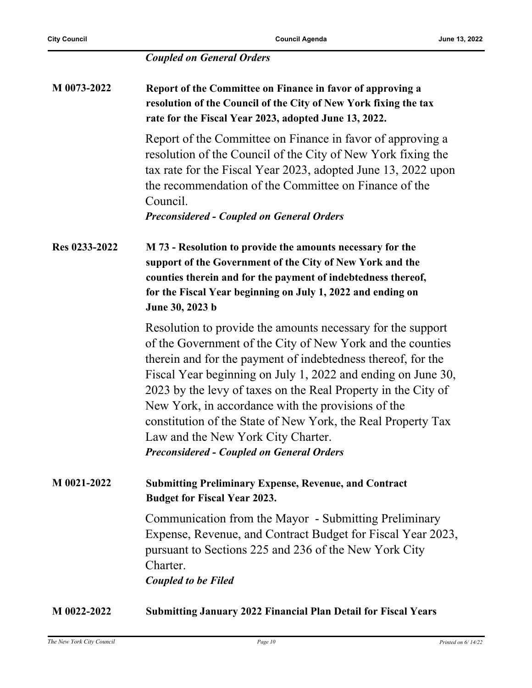#### *Coupled on General Orders*

| M 0073-2022   | Report of the Committee on Finance in favor of approving a<br>resolution of the Council of the City of New York fixing the tax<br>rate for the Fiscal Year 2023, adopted June 13, 2022.                                                                          |
|---------------|------------------------------------------------------------------------------------------------------------------------------------------------------------------------------------------------------------------------------------------------------------------|
|               | Report of the Committee on Finance in favor of approving a<br>resolution of the Council of the City of New York fixing the<br>tax rate for the Fiscal Year 2023, adopted June 13, 2022 upon<br>the recommendation of the Committee on Finance of the<br>Council. |
|               | <b>Preconsidered - Coupled on General Orders</b>                                                                                                                                                                                                                 |
| Res 0233-2022 | M 73 - Resolution to provide the amounts necessary for the<br>support of the Government of the City of New York and the                                                                                                                                          |

**counties therein and for the payment of indebtedness thereof, for the Fiscal Year beginning on July 1, 2022 and ending on June 30, 2023 b**

Resolution to provide the amounts necessary for the support of the Government of the City of New York and the counties therein and for the payment of indebtedness thereof, for the Fiscal Year beginning on July 1, 2022 and ending on June 30, 2023 by the levy of taxes on the Real Property in the City of New York, in accordance with the provisions of the constitution of the State of New York, the Real Property Tax Law and the New York City Charter. *Preconsidered - Coupled on General Orders*

**M 0021-2022 Submitting Preliminary Expense, Revenue, and Contract Budget for Fiscal Year 2023.**

> Communication from the Mayor - Submitting Preliminary Expense, Revenue, and Contract Budget for Fiscal Year 2023, pursuant to Sections 225 and 236 of the New York City Charter.

*Coupled to be Filed*

#### **M 0022-2022 Submitting January 2022 Financial Plan Detail for Fiscal Years**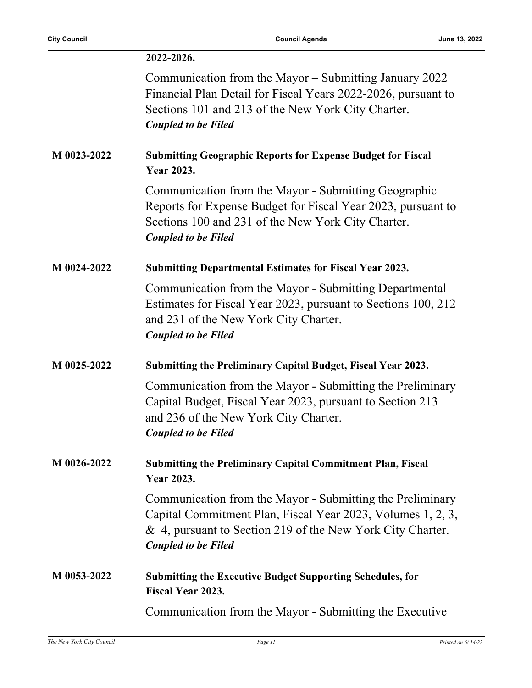l,

|             | 2022-2026.                                                                                                                                                                                                           |
|-------------|----------------------------------------------------------------------------------------------------------------------------------------------------------------------------------------------------------------------|
|             | Communication from the Mayor – Submitting January 2022<br>Financial Plan Detail for Fiscal Years 2022-2026, pursuant to<br>Sections 101 and 213 of the New York City Charter.<br><b>Coupled to be Filed</b>          |
| M 0023-2022 | <b>Submitting Geographic Reports for Expense Budget for Fiscal</b><br><b>Year 2023.</b>                                                                                                                              |
|             | Communication from the Mayor - Submitting Geographic<br>Reports for Expense Budget for Fiscal Year 2023, pursuant to<br>Sections 100 and 231 of the New York City Charter.<br><b>Coupled to be Filed</b>             |
| M 0024-2022 | <b>Submitting Departmental Estimates for Fiscal Year 2023.</b>                                                                                                                                                       |
|             | Communication from the Mayor - Submitting Departmental<br>Estimates for Fiscal Year 2023, pursuant to Sections 100, 212<br>and 231 of the New York City Charter.<br><b>Coupled to be Filed</b>                       |
| M 0025-2022 | Submitting the Preliminary Capital Budget, Fiscal Year 2023.                                                                                                                                                         |
|             | Communication from the Mayor - Submitting the Preliminary<br>Capital Budget, Fiscal Year 2023, pursuant to Section 213<br>and 236 of the New York City Charter.<br><b>Coupled to be Filed</b>                        |
| M 0026-2022 | <b>Submitting the Preliminary Capital Commitment Plan, Fiscal</b><br><b>Year 2023.</b>                                                                                                                               |
|             | Communication from the Mayor - Submitting the Preliminary<br>Capital Commitment Plan, Fiscal Year 2023, Volumes 1, 2, 3,<br>& 4, pursuant to Section 219 of the New York City Charter.<br><b>Coupled to be Filed</b> |
| M 0053-2022 | <b>Submitting the Executive Budget Supporting Schedules, for</b><br>Fiscal Year 2023.                                                                                                                                |
|             | Communication from the Mayor - Submitting the Executive                                                                                                                                                              |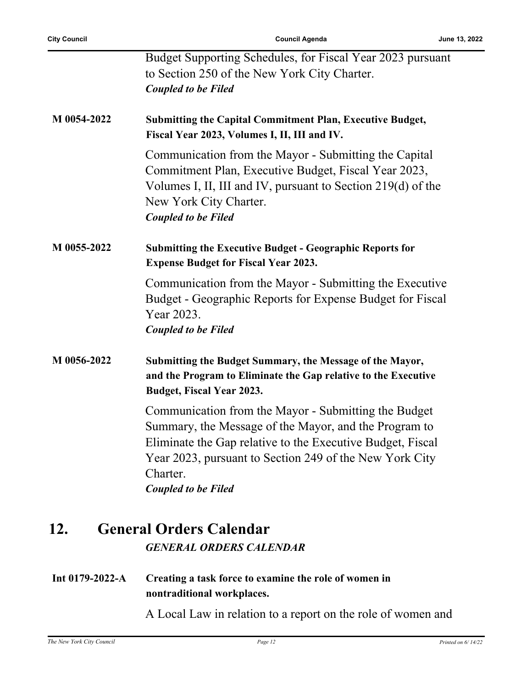|             | Budget Supporting Schedules, for Fiscal Year 2023 pursuant<br>to Section 250 of the New York City Charter.<br><b>Coupled to be Filed</b>                                                                                                                                         |
|-------------|----------------------------------------------------------------------------------------------------------------------------------------------------------------------------------------------------------------------------------------------------------------------------------|
| M 0054-2022 | <b>Submitting the Capital Commitment Plan, Executive Budget,</b><br>Fiscal Year 2023, Volumes I, II, III and IV.                                                                                                                                                                 |
|             | Communication from the Mayor - Submitting the Capital<br>Commitment Plan, Executive Budget, Fiscal Year 2023,<br>Volumes I, II, III and IV, pursuant to Section 219(d) of the<br>New York City Charter.<br><b>Coupled to be Filed</b>                                            |
| M 0055-2022 | <b>Submitting the Executive Budget - Geographic Reports for</b><br><b>Expense Budget for Fiscal Year 2023.</b>                                                                                                                                                                   |
|             | Communication from the Mayor - Submitting the Executive<br>Budget - Geographic Reports for Expense Budget for Fiscal<br>Year 2023.<br><b>Coupled to be Filed</b>                                                                                                                 |
| M 0056-2022 | Submitting the Budget Summary, the Message of the Mayor,<br>and the Program to Eliminate the Gap relative to the Executive<br><b>Budget, Fiscal Year 2023.</b>                                                                                                                   |
|             | Communication from the Mayor - Submitting the Budget<br>Summary, the Message of the Mayor, and the Program to<br>Eliminate the Gap relative to the Executive Budget, Fiscal<br>Year 2023, pursuant to Section 249 of the New York City<br>Charter.<br><b>Coupled to be Filed</b> |
|             |                                                                                                                                                                                                                                                                                  |

# **12. General Orders Calendar** *GENERAL ORDERS CALENDAR*

**Int 0179-2022-A Creating a task force to examine the role of women in nontraditional workplaces.**

A Local Law in relation to a report on the role of women and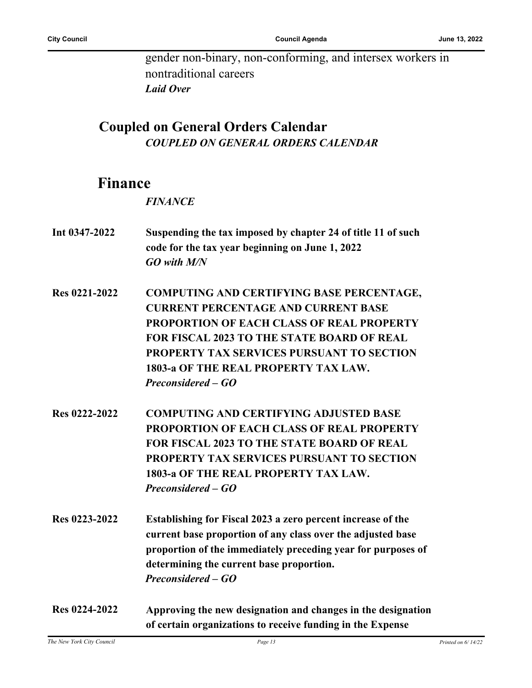gender non-binary, non-conforming, and intersex workers in nontraditional careers *Laid Over*

## **Coupled on General Orders Calendar** *COUPLED ON GENERAL ORDERS CALENDAR*

## **Finance**

*FINANCE*

- **Int 0347-2022 Suspending the tax imposed by chapter 24 of title 11 of such code for the tax year beginning on June 1, 2022** *GO with M/N*
- **Res 0221-2022 COMPUTING AND CERTIFYING BASE PERCENTAGE, CURRENT PERCENTAGE AND CURRENT BASE PROPORTION OF EACH CLASS OF REAL PROPERTY FOR FISCAL 2023 TO THE STATE BOARD OF REAL PROPERTY TAX SERVICES PURSUANT TO SECTION 1803-a OF THE REAL PROPERTY TAX LAW.** *Preconsidered – GO*
- **Res 0222-2022 COMPUTING AND CERTIFYING ADJUSTED BASE PROPORTION OF EACH CLASS OF REAL PROPERTY FOR FISCAL 2023 TO THE STATE BOARD OF REAL PROPERTY TAX SERVICES PURSUANT TO SECTION 1803-a OF THE REAL PROPERTY TAX LAW.** *Preconsidered – GO*
- **Res 0223-2022 Establishing for Fiscal 2023 a zero percent increase of the current base proportion of any class over the adjusted base proportion of the immediately preceding year for purposes of determining the current base proportion.** *Preconsidered – GO*
- **Res 0224-2022 Approving the new designation and changes in the designation of certain organizations to receive funding in the Expense**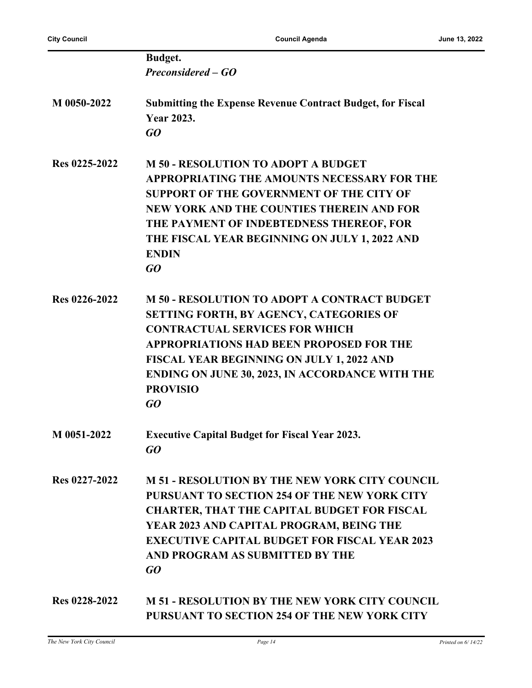|               | <b>Budget.</b>                                                                                                                                                                                                                                                                                                                           |
|---------------|------------------------------------------------------------------------------------------------------------------------------------------------------------------------------------------------------------------------------------------------------------------------------------------------------------------------------------------|
|               | Preconsidered – GO                                                                                                                                                                                                                                                                                                                       |
| M 0050-2022   | <b>Submitting the Expense Revenue Contract Budget, for Fiscal</b><br><b>Year 2023.</b><br>GO                                                                                                                                                                                                                                             |
| Res 0225-2022 | <b>M 50 - RESOLUTION TO ADOPT A BUDGET</b><br>APPROPRIATING THE AMOUNTS NECESSARY FOR THE<br>SUPPORT OF THE GOVERNMENT OF THE CITY OF<br>NEW YORK AND THE COUNTIES THEREIN AND FOR<br>THE PAYMENT OF INDEBTEDNESS THEREOF, FOR<br>THE FISCAL YEAR BEGINNING ON JULY 1, 2022 AND<br><b>ENDIN</b><br>GQ                                    |
| Res 0226-2022 | <b>M 50 - RESOLUTION TO ADOPT A CONTRACT BUDGET</b><br><b>SETTING FORTH, BY AGENCY, CATEGORIES OF</b><br><b>CONTRACTUAL SERVICES FOR WHICH</b><br><b>APPROPRIATIONS HAD BEEN PROPOSED FOR THE</b><br><b>FISCAL YEAR BEGINNING ON JULY 1, 2022 AND</b><br><b>ENDING ON JUNE 30, 2023, IN ACCORDANCE WITH THE</b><br><b>PROVISIO</b><br>GO |
| M 0051-2022   | <b>Executive Capital Budget for Fiscal Year 2023.</b><br>GQ                                                                                                                                                                                                                                                                              |
| Res 0227-2022 | <b>M 51 - RESOLUTION BY THE NEW YORK CITY COUNCIL</b><br>PURSUANT TO SECTION 254 OF THE NEW YORK CITY<br><b>CHARTER, THAT THE CAPITAL BUDGET FOR FISCAL</b><br>YEAR 2023 AND CAPITAL PROGRAM, BEING THE<br><b>EXECUTIVE CAPITAL BUDGET FOR FISCAL YEAR 2023</b><br>AND PROGRAM AS SUBMITTED BY THE<br>GQ                                 |
| Res 0228-2022 | <b>M 51 - RESOLUTION BY THE NEW YORK CITY COUNCIL</b><br>PURSUANT TO SECTION 254 OF THE NEW YORK CITY                                                                                                                                                                                                                                    |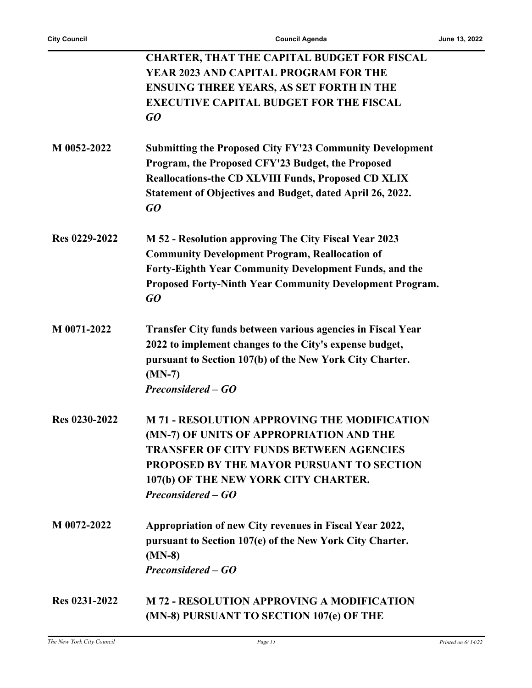|               | <b>CHARTER, THAT THE CAPITAL BUDGET FOR FISCAL</b>                   |
|---------------|----------------------------------------------------------------------|
|               | YEAR 2023 AND CAPITAL PROGRAM FOR THE                                |
|               | <b>ENSUING THREE YEARS, AS SET FORTH IN THE</b>                      |
|               | <b>EXECUTIVE CAPITAL BUDGET FOR THE FISCAL</b>                       |
|               | GO                                                                   |
| M 0052-2022   | <b>Submitting the Proposed City FY'23 Community Development</b>      |
|               | Program, the Proposed CFY'23 Budget, the Proposed                    |
|               | <b>Reallocations-the CD XLVIII Funds, Proposed CD XLIX</b>           |
|               | Statement of Objectives and Budget, dated April 26, 2022.<br>GO      |
| Res 0229-2022 | M 52 - Resolution approving The City Fiscal Year 2023                |
|               | <b>Community Development Program, Reallocation of</b>                |
|               | Forty-Eighth Year Community Development Funds, and the               |
|               | <b>Proposed Forty-Ninth Year Community Development Program.</b>      |
|               | GO                                                                   |
| M 0071-2022   | <b>Transfer City funds between various agencies in Fiscal Year</b>   |
|               | 2022 to implement changes to the City's expense budget,              |
|               | pursuant to Section 107(b) of the New York City Charter.<br>$(MN-7)$ |
|               | Preconsidered – GO                                                   |
| Res 0230-2022 | <b>M 71 - RESOLUTION APPROVING THE MODIFICATION</b>                  |
|               | (MN-7) OF UNITS OF APPROPRIATION AND THE                             |
|               | <b>TRANSFER OF CITY FUNDS BETWEEN AGENCIES</b>                       |
|               | PROPOSED BY THE MAYOR PURSUANT TO SECTION                            |
|               | 107(b) OF THE NEW YORK CITY CHARTER.                                 |
|               | Preconsidered – GO                                                   |
| M 0072-2022   | Appropriation of new City revenues in Fiscal Year 2022,              |
|               | pursuant to Section 107(e) of the New York City Charter.<br>$(MN-8)$ |
|               | Preconsidered – GO                                                   |
| Res 0231-2022 | <b>M 72 - RESOLUTION APPROVING A MODIFICATION</b>                    |
|               | (MN-8) PURSUANT TO SECTION 107(e) OF THE                             |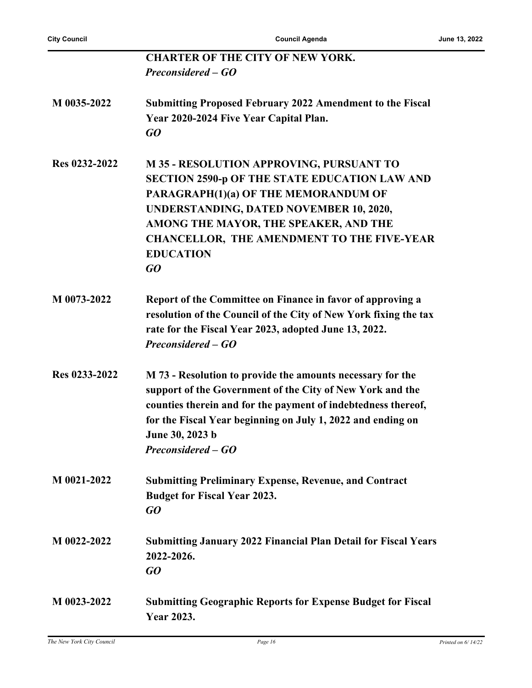| <b>CHARTER OF THE CITY OF NEW YORK.</b><br>Preconsidered – GO<br>M 0035-2022<br><b>Submitting Proposed February 2022 Amendment to the Fiscal</b><br>Year 2020-2024 Five Year Capital Plan.<br>GO<br>Res 0232-2022<br><b>M35 - RESOLUTION APPROVING, PURSUANT TO</b><br>SECTION 2590-p OF THE STATE EDUCATION LAW AND<br>PARAGRAPH(1)(a) OF THE MEMORANDUM OF<br>UNDERSTANDING, DATED NOVEMBER 10, 2020,<br>AMONG THE MAYOR, THE SPEAKER, AND THE<br><b>CHANCELLOR, THE AMENDMENT TO THE FIVE-YEAR</b><br><b>EDUCATION</b><br>GO<br>M 0073-2022<br>Report of the Committee on Finance in favor of approving a<br>resolution of the Council of the City of New York fixing the tax<br>rate for the Fiscal Year 2023, adopted June 13, 2022.<br>Preconsidered – GO<br>Res 0233-2022<br>M 73 - Resolution to provide the amounts necessary for the<br>support of the Government of the City of New York and the<br>counties therein and for the payment of indebtedness thereof,<br>for the Fiscal Year beginning on July 1, 2022 and ending on<br>June 30, 2023 b<br>Preconsidered – GO<br>M 0021-2022<br><b>Submitting Preliminary Expense, Revenue, and Contract</b><br><b>Budget for Fiscal Year 2023.</b><br>GO<br>M 0022-2022<br><b>Submitting January 2022 Financial Plan Detail for Fiscal Years</b><br>2022-2026.<br>GO<br>M 0023-2022<br><b>Submitting Geographic Reports for Expense Budget for Fiscal</b><br><b>Year 2023.</b> |  |
|----------------------------------------------------------------------------------------------------------------------------------------------------------------------------------------------------------------------------------------------------------------------------------------------------------------------------------------------------------------------------------------------------------------------------------------------------------------------------------------------------------------------------------------------------------------------------------------------------------------------------------------------------------------------------------------------------------------------------------------------------------------------------------------------------------------------------------------------------------------------------------------------------------------------------------------------------------------------------------------------------------------------------------------------------------------------------------------------------------------------------------------------------------------------------------------------------------------------------------------------------------------------------------------------------------------------------------------------------------------------------------------------------------------------------------------|--|
|                                                                                                                                                                                                                                                                                                                                                                                                                                                                                                                                                                                                                                                                                                                                                                                                                                                                                                                                                                                                                                                                                                                                                                                                                                                                                                                                                                                                                                        |  |
|                                                                                                                                                                                                                                                                                                                                                                                                                                                                                                                                                                                                                                                                                                                                                                                                                                                                                                                                                                                                                                                                                                                                                                                                                                                                                                                                                                                                                                        |  |
|                                                                                                                                                                                                                                                                                                                                                                                                                                                                                                                                                                                                                                                                                                                                                                                                                                                                                                                                                                                                                                                                                                                                                                                                                                                                                                                                                                                                                                        |  |
|                                                                                                                                                                                                                                                                                                                                                                                                                                                                                                                                                                                                                                                                                                                                                                                                                                                                                                                                                                                                                                                                                                                                                                                                                                                                                                                                                                                                                                        |  |
|                                                                                                                                                                                                                                                                                                                                                                                                                                                                                                                                                                                                                                                                                                                                                                                                                                                                                                                                                                                                                                                                                                                                                                                                                                                                                                                                                                                                                                        |  |
|                                                                                                                                                                                                                                                                                                                                                                                                                                                                                                                                                                                                                                                                                                                                                                                                                                                                                                                                                                                                                                                                                                                                                                                                                                                                                                                                                                                                                                        |  |
|                                                                                                                                                                                                                                                                                                                                                                                                                                                                                                                                                                                                                                                                                                                                                                                                                                                                                                                                                                                                                                                                                                                                                                                                                                                                                                                                                                                                                                        |  |
|                                                                                                                                                                                                                                                                                                                                                                                                                                                                                                                                                                                                                                                                                                                                                                                                                                                                                                                                                                                                                                                                                                                                                                                                                                                                                                                                                                                                                                        |  |
|                                                                                                                                                                                                                                                                                                                                                                                                                                                                                                                                                                                                                                                                                                                                                                                                                                                                                                                                                                                                                                                                                                                                                                                                                                                                                                                                                                                                                                        |  |
|                                                                                                                                                                                                                                                                                                                                                                                                                                                                                                                                                                                                                                                                                                                                                                                                                                                                                                                                                                                                                                                                                                                                                                                                                                                                                                                                                                                                                                        |  |
|                                                                                                                                                                                                                                                                                                                                                                                                                                                                                                                                                                                                                                                                                                                                                                                                                                                                                                                                                                                                                                                                                                                                                                                                                                                                                                                                                                                                                                        |  |
|                                                                                                                                                                                                                                                                                                                                                                                                                                                                                                                                                                                                                                                                                                                                                                                                                                                                                                                                                                                                                                                                                                                                                                                                                                                                                                                                                                                                                                        |  |
|                                                                                                                                                                                                                                                                                                                                                                                                                                                                                                                                                                                                                                                                                                                                                                                                                                                                                                                                                                                                                                                                                                                                                                                                                                                                                                                                                                                                                                        |  |
|                                                                                                                                                                                                                                                                                                                                                                                                                                                                                                                                                                                                                                                                                                                                                                                                                                                                                                                                                                                                                                                                                                                                                                                                                                                                                                                                                                                                                                        |  |
|                                                                                                                                                                                                                                                                                                                                                                                                                                                                                                                                                                                                                                                                                                                                                                                                                                                                                                                                                                                                                                                                                                                                                                                                                                                                                                                                                                                                                                        |  |
|                                                                                                                                                                                                                                                                                                                                                                                                                                                                                                                                                                                                                                                                                                                                                                                                                                                                                                                                                                                                                                                                                                                                                                                                                                                                                                                                                                                                                                        |  |
|                                                                                                                                                                                                                                                                                                                                                                                                                                                                                                                                                                                                                                                                                                                                                                                                                                                                                                                                                                                                                                                                                                                                                                                                                                                                                                                                                                                                                                        |  |
|                                                                                                                                                                                                                                                                                                                                                                                                                                                                                                                                                                                                                                                                                                                                                                                                                                                                                                                                                                                                                                                                                                                                                                                                                                                                                                                                                                                                                                        |  |
|                                                                                                                                                                                                                                                                                                                                                                                                                                                                                                                                                                                                                                                                                                                                                                                                                                                                                                                                                                                                                                                                                                                                                                                                                                                                                                                                                                                                                                        |  |
|                                                                                                                                                                                                                                                                                                                                                                                                                                                                                                                                                                                                                                                                                                                                                                                                                                                                                                                                                                                                                                                                                                                                                                                                                                                                                                                                                                                                                                        |  |
|                                                                                                                                                                                                                                                                                                                                                                                                                                                                                                                                                                                                                                                                                                                                                                                                                                                                                                                                                                                                                                                                                                                                                                                                                                                                                                                                                                                                                                        |  |
|                                                                                                                                                                                                                                                                                                                                                                                                                                                                                                                                                                                                                                                                                                                                                                                                                                                                                                                                                                                                                                                                                                                                                                                                                                                                                                                                                                                                                                        |  |
|                                                                                                                                                                                                                                                                                                                                                                                                                                                                                                                                                                                                                                                                                                                                                                                                                                                                                                                                                                                                                                                                                                                                                                                                                                                                                                                                                                                                                                        |  |
|                                                                                                                                                                                                                                                                                                                                                                                                                                                                                                                                                                                                                                                                                                                                                                                                                                                                                                                                                                                                                                                                                                                                                                                                                                                                                                                                                                                                                                        |  |
|                                                                                                                                                                                                                                                                                                                                                                                                                                                                                                                                                                                                                                                                                                                                                                                                                                                                                                                                                                                                                                                                                                                                                                                                                                                                                                                                                                                                                                        |  |
|                                                                                                                                                                                                                                                                                                                                                                                                                                                                                                                                                                                                                                                                                                                                                                                                                                                                                                                                                                                                                                                                                                                                                                                                                                                                                                                                                                                                                                        |  |
|                                                                                                                                                                                                                                                                                                                                                                                                                                                                                                                                                                                                                                                                                                                                                                                                                                                                                                                                                                                                                                                                                                                                                                                                                                                                                                                                                                                                                                        |  |
|                                                                                                                                                                                                                                                                                                                                                                                                                                                                                                                                                                                                                                                                                                                                                                                                                                                                                                                                                                                                                                                                                                                                                                                                                                                                                                                                                                                                                                        |  |
|                                                                                                                                                                                                                                                                                                                                                                                                                                                                                                                                                                                                                                                                                                                                                                                                                                                                                                                                                                                                                                                                                                                                                                                                                                                                                                                                                                                                                                        |  |
|                                                                                                                                                                                                                                                                                                                                                                                                                                                                                                                                                                                                                                                                                                                                                                                                                                                                                                                                                                                                                                                                                                                                                                                                                                                                                                                                                                                                                                        |  |
|                                                                                                                                                                                                                                                                                                                                                                                                                                                                                                                                                                                                                                                                                                                                                                                                                                                                                                                                                                                                                                                                                                                                                                                                                                                                                                                                                                                                                                        |  |
|                                                                                                                                                                                                                                                                                                                                                                                                                                                                                                                                                                                                                                                                                                                                                                                                                                                                                                                                                                                                                                                                                                                                                                                                                                                                                                                                                                                                                                        |  |
|                                                                                                                                                                                                                                                                                                                                                                                                                                                                                                                                                                                                                                                                                                                                                                                                                                                                                                                                                                                                                                                                                                                                                                                                                                                                                                                                                                                                                                        |  |
|                                                                                                                                                                                                                                                                                                                                                                                                                                                                                                                                                                                                                                                                                                                                                                                                                                                                                                                                                                                                                                                                                                                                                                                                                                                                                                                                                                                                                                        |  |
|                                                                                                                                                                                                                                                                                                                                                                                                                                                                                                                                                                                                                                                                                                                                                                                                                                                                                                                                                                                                                                                                                                                                                                                                                                                                                                                                                                                                                                        |  |
|                                                                                                                                                                                                                                                                                                                                                                                                                                                                                                                                                                                                                                                                                                                                                                                                                                                                                                                                                                                                                                                                                                                                                                                                                                                                                                                                                                                                                                        |  |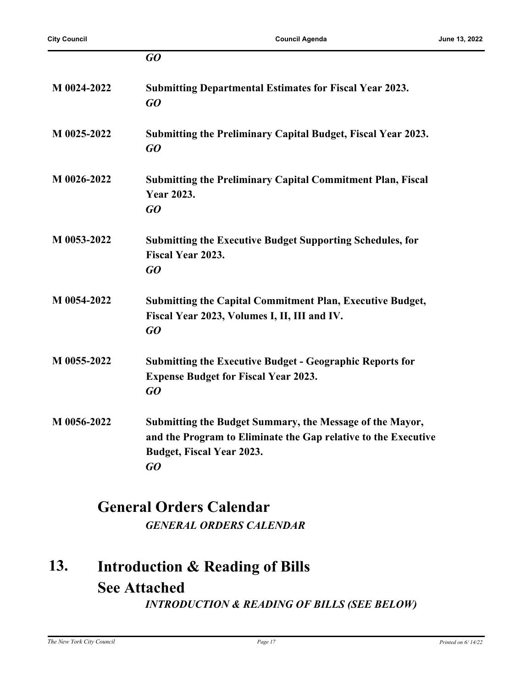|             | GO                                                                                                                                                                   |
|-------------|----------------------------------------------------------------------------------------------------------------------------------------------------------------------|
| M 0024-2022 | <b>Submitting Departmental Estimates for Fiscal Year 2023.</b><br>GQ                                                                                                 |
| M 0025-2022 | Submitting the Preliminary Capital Budget, Fiscal Year 2023.<br>GO                                                                                                   |
| M 0026-2022 | <b>Submitting the Preliminary Capital Commitment Plan, Fiscal</b><br><b>Year 2023.</b><br>GQ                                                                         |
| M 0053-2022 | <b>Submitting the Executive Budget Supporting Schedules, for</b><br><b>Fiscal Year 2023.</b><br>GQ                                                                   |
| M 0054-2022 | <b>Submitting the Capital Commitment Plan, Executive Budget,</b><br>Fiscal Year 2023, Volumes I, II, III and IV.<br>GO                                               |
| M 0055-2022 | <b>Submitting the Executive Budget - Geographic Reports for</b><br><b>Expense Budget for Fiscal Year 2023.</b><br>GO                                                 |
| M 0056-2022 | Submitting the Budget Summary, the Message of the Mayor,<br>and the Program to Eliminate the Gap relative to the Executive<br><b>Budget, Fiscal Year 2023.</b><br>GO |

## **General Orders Calendar** *GENERAL ORDERS CALENDAR*

#### **Introduction & Reading of Bills See Attached 13.** *INTRODUCTION & READING OF BILLS (SEE BELOW)*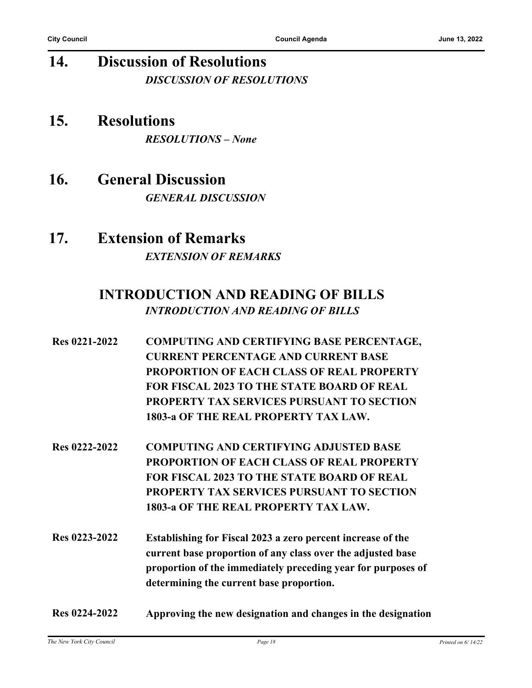# **14. Discussion of Resolutions** *DISCUSSION OF RESOLUTIONS*

- **15. Resolutions** *RESOLUTIONS – None*
- **16. General Discussion** *GENERAL DISCUSSION*
- **17. Extension of Remarks** *EXTENSION OF REMARKS*

### **INTRODUCTION AND READING OF BILLS** *INTRODUCTION AND READING OF BILLS*

- **Res 0221-2022 COMPUTING AND CERTIFYING BASE PERCENTAGE, CURRENT PERCENTAGE AND CURRENT BASE PROPORTION OF EACH CLASS OF REAL PROPERTY FOR FISCAL 2023 TO THE STATE BOARD OF REAL PROPERTY TAX SERVICES PURSUANT TO SECTION 1803-a OF THE REAL PROPERTY TAX LAW.**
- **Res 0222-2022 COMPUTING AND CERTIFYING ADJUSTED BASE PROPORTION OF EACH CLASS OF REAL PROPERTY FOR FISCAL 2023 TO THE STATE BOARD OF REAL PROPERTY TAX SERVICES PURSUANT TO SECTION 1803-a OF THE REAL PROPERTY TAX LAW.**
- **Res 0223-2022 Establishing for Fiscal 2023 a zero percent increase of the current base proportion of any class over the adjusted base proportion of the immediately preceding year for purposes of determining the current base proportion.**
- **Res 0224-2022 Approving the new designation and changes in the designation**